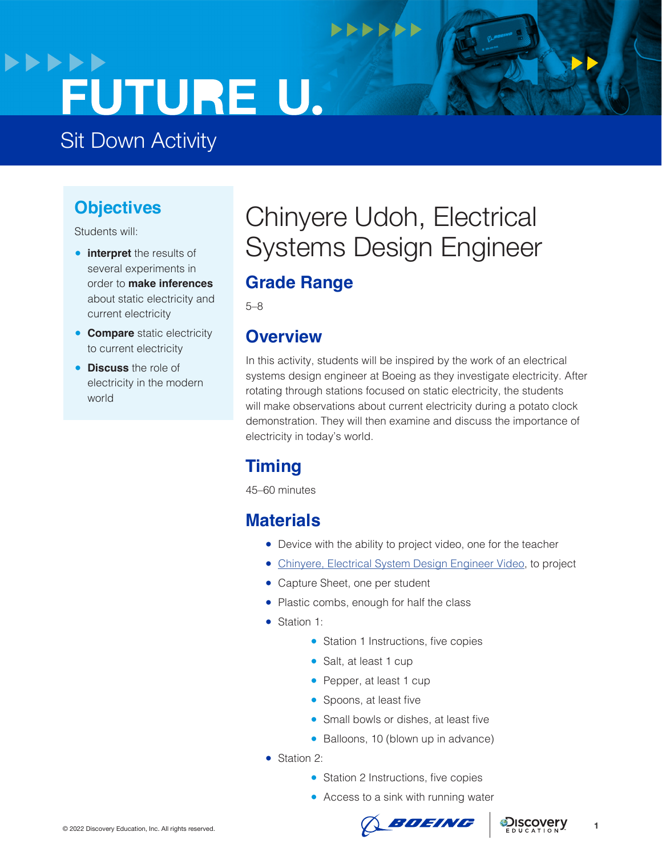# **>>>>>> FUTURE U.**

Sit Down Activity

### **Objectives**

Students will:

- **interpret** the results of several experiments in order to **make inferences**  about static electricity and current electricity
- **Compare** static electricity to current electricity
- **Discuss** the role of electricity in the modern world

## Chinyere Udoh, Electrical Systems Design Engineer

**NNNNNN** 

### **Grade Range**

5–8

### **Overview**

In this activity, students will be inspired by the work of an electrical systems design engineer at Boeing as they investigate electricity. After rotating through stations focused on static electricity, the students will make observations about current electricity during a potato clock demonstration. They will then examine and discuss the importance of electricity in today's world.

### **Timing**

45–60 minutes

### **Materials**

- Device with the ability to project video, one for the teacher
- [Chinyere, Electrical System Design Engineer Video](https://www.boeingfutureu.com/virtual-experiences/STEM-career-videos/chinyere-electrical), to project
- Capture Sheet, one per student
- Plastic combs, enough for half the class
- Station 1:
	- Station 1 Instructions, five copies
	- Salt, at least 1 cup
	- Pepper, at least 1 cup
	- Spoons, at least five
	- Small bowls or dishes, at least five
	- Balloons, 10 (blown up in advance)
- Station 2:
	- Station 2 Instructions, five copies
	- Access to a sink with running water



**1**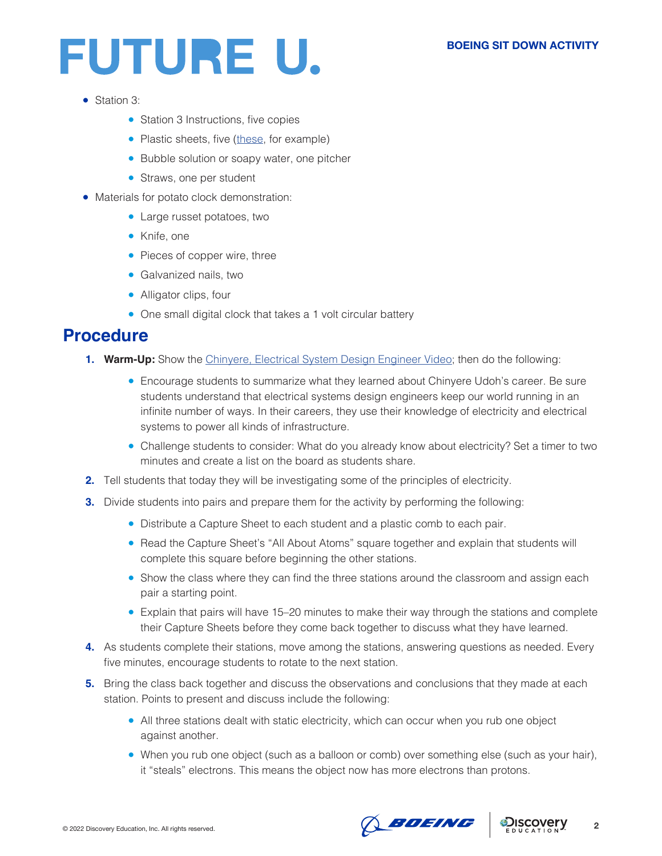# FUTURE U.

- Station 3:
	- Station 3 Instructions, five copies
	- Plastic sheets, five ([these,](https://www.amazon.com/IVARSOYA-Alternative-Projects-Shatterproof-Replacement/dp/B08SGGLV48/ref=sr_1_6?keywords=plastic+sheet&qid=1636472331&sr=8-6) for example)
	- Bubble solution or soapy water, one pitcher
	- Straws, one per student
- Materials for potato clock demonstration:
	- Large russet potatoes, two
	- Knife, one
	- Pieces of copper wire, three
	- Galvanized nails, two
	- Alligator clips, four
	- One small digital clock that takes a 1 volt circular battery

### **Procedure**

- **1. Warm-Up:** Show the [Chinyere, Electrical System Design Engineer Video](https://www.boeingfutureu.com/virtual-experiences/STEM-career-videos/chinyere-electrical); then do the following:
	- Encourage students to summarize what they learned about Chinyere Udoh's career. Be sure students understand that electrical systems design engineers keep our world running in an infinite number of ways. In their careers, they use their knowledge of electricity and electrical systems to power all kinds of infrastructure.
	- Challenge students to consider: What do you already know about electricity? Set a timer to two minutes and create a list on the board as students share.
- **2.** Tell students that today they will be investigating some of the principles of electricity.
- **3.** Divide students into pairs and prepare them for the activity by performing the following:
	- Distribute a Capture Sheet to each student and a plastic comb to each pair.
	- Read the Capture Sheet's "All About Atoms" square together and explain that students will complete this square before beginning the other stations.
	- Show the class where they can find the three stations around the classroom and assign each pair a starting point.
	- Explain that pairs will have 15–20 minutes to make their way through the stations and complete their Capture Sheets before they come back together to discuss what they have learned.
- **4.** As students complete their stations, move among the stations, answering questions as needed. Every five minutes, encourage students to rotate to the next station.
- **5.** Bring the class back together and discuss the observations and conclusions that they made at each station. Points to present and discuss include the following:
	- All three stations dealt with static electricity, which can occur when you rub one object against another.
	- When you rub one object (such as a balloon or comb) over something else (such as your hair), it "steals" electrons. This means the object now has more electrons than protons.

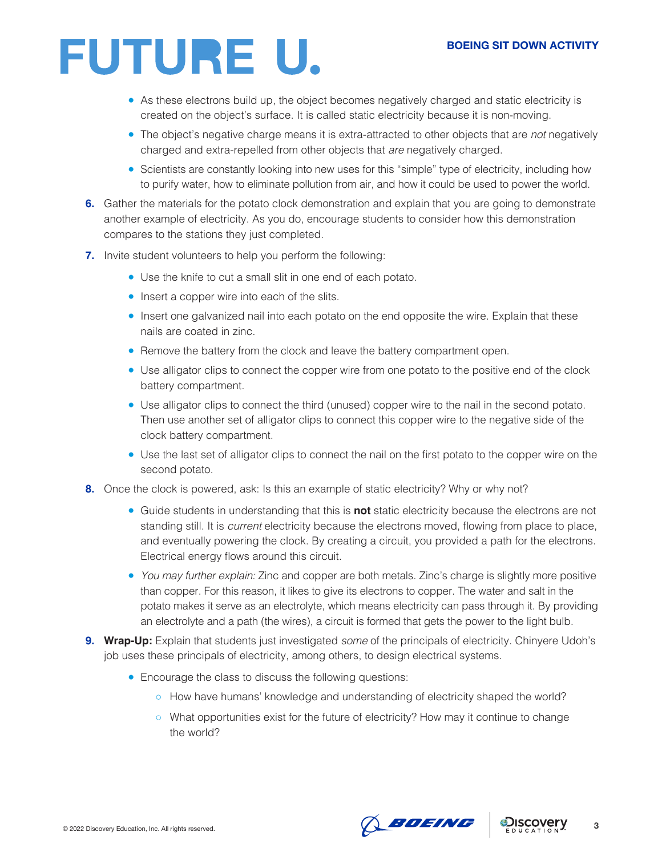# FUTURE U.

- As these electrons build up, the object becomes negatively charged and static electricity is created on the object's surface. It is called static electricity because it is non-moving.
- The object's negative charge means it is extra-attracted to other objects that are *not* negatively charged and extra-repelled from other objects that *are* negatively charged.
- Scientists are constantly looking into new uses for this "simple" type of electricity, including how to purify water, how to eliminate pollution from air, and how it could be used to power the world.
- **6.** Gather the materials for the potato clock demonstration and explain that you are going to demonstrate another example of electricity. As you do, encourage students to consider how this demonstration compares to the stations they just completed.
- **7.** Invite student volunteers to help you perform the following:
	- Use the knife to cut a small slit in one end of each potato.
	- Insert a copper wire into each of the slits.
	- Insert one galvanized nail into each potato on the end opposite the wire. Explain that these nails are coated in zinc.
	- Remove the battery from the clock and leave the battery compartment open.
	- Use alligator clips to connect the copper wire from one potato to the positive end of the clock battery compartment.
	- Use alligator clips to connect the third (unused) copper wire to the nail in the second potato. Then use another set of alligator clips to connect this copper wire to the negative side of the clock battery compartment.
	- Use the last set of alligator clips to connect the nail on the first potato to the copper wire on the second potato.
- **8.** Once the clock is powered, ask: Is this an example of static electricity? Why or why not?
	- Guide students in understanding that this is **not** static electricity because the electrons are not standing still. It is *current* electricity because the electrons moved, flowing from place to place, and eventually powering the clock. By creating a circuit, you provided a path for the electrons. Electrical energy flows around this circuit.
	- *You may further explain:* Zinc and copper are both metals. Zinc's charge is slightly more positive than copper. For this reason, it likes to give its electrons to copper. The water and salt in the potato makes it serve as an electrolyte, which means electricity can pass through it. By providing an electrolyte and a path (the wires), a circuit is formed that gets the power to the light bulb.
- **9. Wrap-Up:** Explain that students just investigated *some* of the principals of electricity. Chinyere Udoh's job uses these principals of electricity, among others, to design electrical systems.
	- Encourage the class to discuss the following questions:
		- How have humans' knowledge and understanding of electricity shaped the world?
		- What opportunities exist for the future of electricity? How may it continue to change the world?





**3**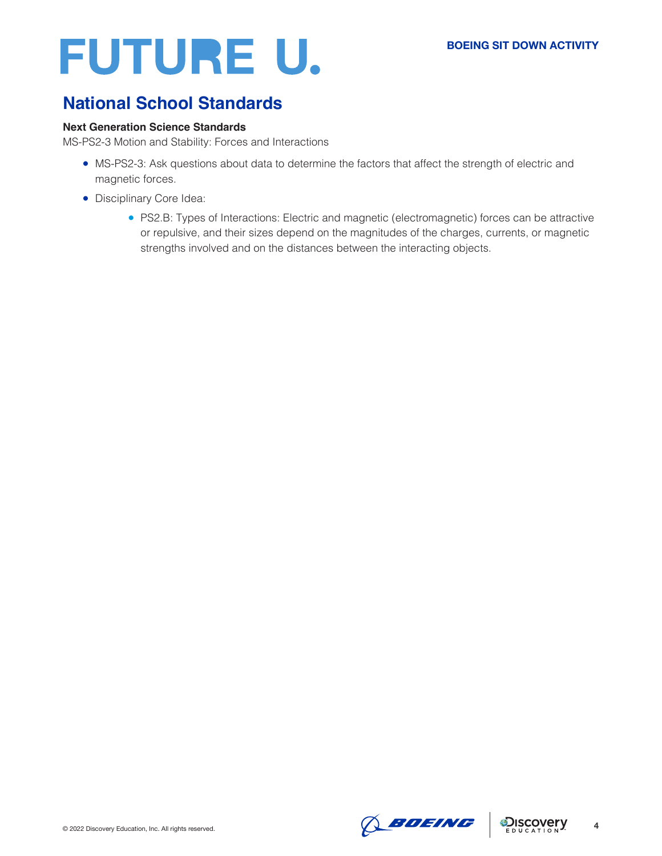# FUTURE U.

### **National School Standards**

#### **Next Generation Science Standards**

MS-PS2-3 Motion and Stability: Forces and Interactions

- MS-PS2-3: Ask questions about data to determine the factors that affect the strength of electric and magnetic forces.
- Disciplinary Core Idea:
	- PS2.B: Types of Interactions: Electric and magnetic (electromagnetic) forces can be attractive or repulsive, and their sizes depend on the magnitudes of the charges, currents, or magnetic strengths involved and on the distances between the interacting objects.



**4**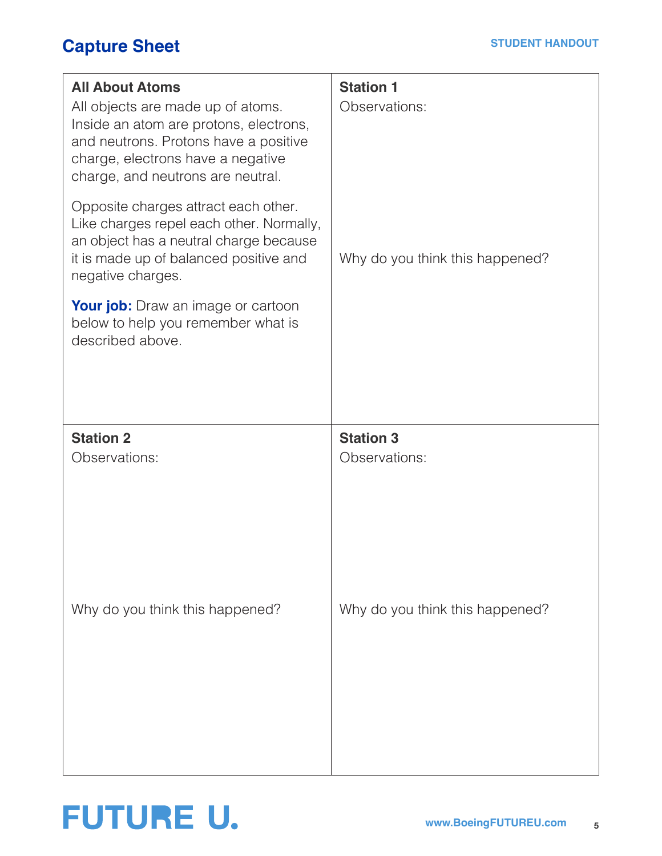### **Capture Sheet**

| <b>All About Atoms</b><br>All objects are made up of atoms.<br>Inside an atom are protons, electrons,<br>and neutrons. Protons have a positive<br>charge, electrons have a negative<br>charge, and neutrons are neutral. | <b>Station 1</b><br>Observations: |
|--------------------------------------------------------------------------------------------------------------------------------------------------------------------------------------------------------------------------|-----------------------------------|
| Opposite charges attract each other.<br>Like charges repel each other. Normally,<br>an object has a neutral charge because<br>it is made up of balanced positive and<br>negative charges.                                | Why do you think this happened?   |
| <b>Your job:</b> Draw an image or cartoon<br>below to help you remember what is<br>described above.                                                                                                                      |                                   |
| <b>Station 2</b><br>Observations:                                                                                                                                                                                        | <b>Station 3</b><br>Observations: |
| Why do you think this happened?                                                                                                                                                                                          | Why do you think this happened?   |

## **FUTURE U.**